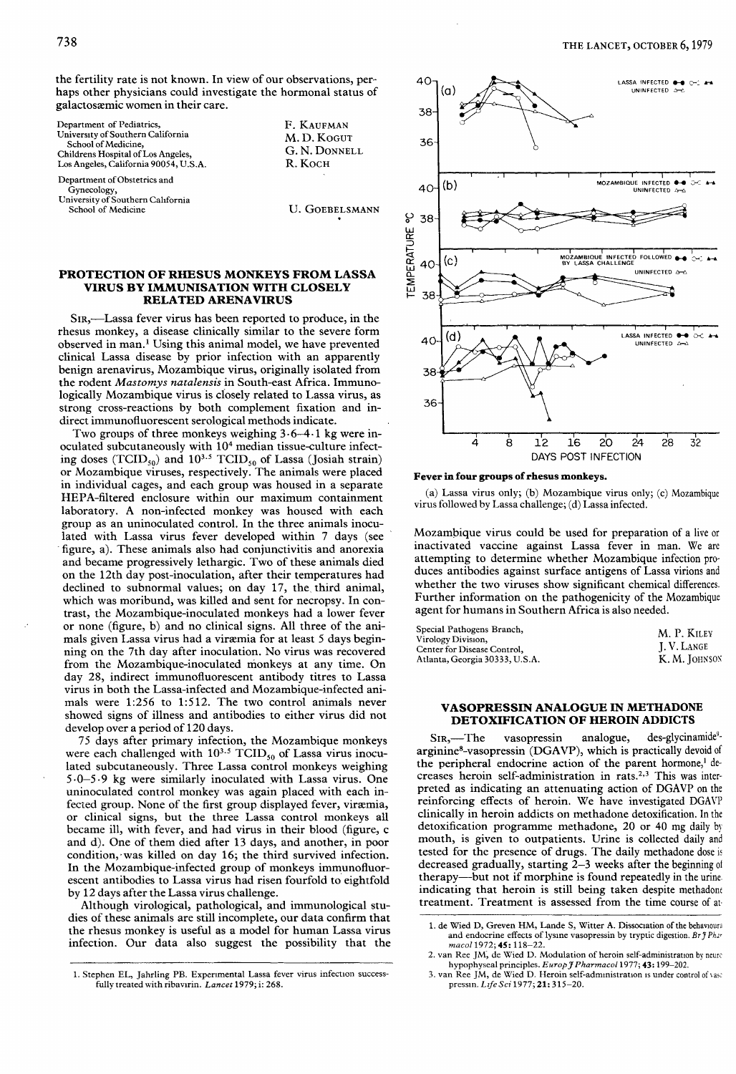the fertility rate is not known. In view of our observations, perhaps other physicians could investigate the hormonal status of galactosaemic women in their care.

| Department of Pediatrics,<br>University of Southern California<br>School of Medicine,<br>Childrens Hospital of Los Angeles,<br>Los Angeles, California 90054, U.S.A. | F. KAUFMAN<br>M. D. KOGUT<br>G. N. DONNELL<br>R. KOCH |
|----------------------------------------------------------------------------------------------------------------------------------------------------------------------|-------------------------------------------------------|
| Department of Obstetrics and<br>Gynecology,                                                                                                                          |                                                       |
| University of Southern California<br>School of Medicine                                                                                                              | <b>U. GOEBELSMANN</b>                                 |

# PROTECTION OF RHESUS MONKEYS FROM LASSA VIRUS BY IMMUNISATION WITH CLOSELY RELATED ARENAVIRUS

SIR,—Lassa fever virus has been reported to produce, in the rhesus monkey, a disease clinically similar to the severe form observed in man.<sup>1</sup> Using this animal model, we have prevented clinical Lassa disease by prior infection with an apparently benign arenavirus, Mozambique virus, originally isolated from the rodent Mastomys natalensis in South-east Africa. Immunologically Mozambique virus is closely related to Lassa virus, as strong cross-reactions by both complement fixation and indirect immunofluorescent serological methods indicate.

Two groups of three monkeys weighing  $3.6-4.1$  kg were inoculated subcutaneously with 104 median tissue-culture infecting doses (TCID<sub>50</sub>) and  $10^{3.5}$  TCID<sub>50</sub> of Lassa (Josiah strain) or Mozambique viruses, respectively. The animals were placed in individual cages, and each group was housed in a separate HEPA-filtered enclosure within our maximum containment laboratory. A non-infected monkey was housed with each group as an uninoculated control. In the three animals inoculated with Lassa virus fever developed within 7 days (see figure, a). These animals also had conjunctivitis and anorexia and became progressively lethargic. Two of these animals died on the 12th day post-inoculation, after their temperatures had declined to subnormal values; on day 17, the third animal, which was moribund, was killed and sent for necropsy. In contrast, the Mozambique-inoculated monkeys had a lower fever or none (figure, b) and no clinical signs. All three of the animals given Lassa virus had a viræmia for at least 5 days beginning on the 7th day after inoculation. No virus was recovered from the Mozambique-inoculated monkeys at any time. On day 28, indirect immunofluorescent antibody titres to Lassa virus in both the Lassa-infected and Mozambique-infected animals were 1:256 to 1:512. The two control animals never showed signs of illness and antibodies to either virus did not develop over a period of 120 days.

75 days after primary infection, the Mozambique monkeys were each challenged with  $10^{3.5}$  TCID<sub>50</sub> of Lassa virus inoculated subcutaneously. Three Lassa control monkeys weighing 5 0-5 kg were similarly inoculated with Lassa virus. One uninoculated control monkey was again placed with each infected group. None of the first group displayed fever, viræmia, or clinical signs, but the three Lassa control monkeys all became ill, with fever, and had virus in their blood (figure, c and d). One of them died after 13 days, and another, in poor condition, was killed on day 16; the third survived infection.<br>In the Mozambique-infected group of monkeys immunofluorescent antibodies to Lassa virus had risen fourfold to eightfold by 12 days after the Lassa virus challenge.

Although virological, pathological, and immunological studies of these animals are still incomplete, our data confirm that the rhesus monkey is useful as a model for human Lassa virus infection. Our data also suggest the possibility that the



#### Fever in four groups of rhesus monkeys.

(a) Lassa virus only; (b) Mozambique virus only; (c) Mozambique virus followed by Lassa challenge; (d) Lassa infected.

Mozambique virus could be used for preparation of a live or inactivated vaccine against Lassa fever in man. We are attempting to determine whether Mozambique infection produces antibodies against surface antigens of Lassa virions and whether the two viruses show significant chemical differences. Further information on the pathogenicity of the Mozambique agent for humans in Southern Africa is also needed.

| Special Pathogens Branch,      | M. P. KILEY       |
|--------------------------------|-------------------|
| Virology Division,             |                   |
| Center for Disease Control.    | <b>I.V. LANGE</b> |
| Atlanta, Georgia 30333, U.S.A. | K. M. JOHNSON     |

## VASOPRESSIN ANALOGUE IN METHADONE DETOXIFICATION OF HEROIN ADDICTS

 $SIR$ ,—The vasopressin analogue, des-glycinamide<sup>9-</sup> arginine8-vasopressin (DGAVP), which is practically devoid of the peripheral endocrine action of the parent hormone,<sup>1</sup> decreases heroin self-administration in rats.<sup>2,3</sup> This was interpreted as indicating an attenuating action of DGAVP on the reinforcing effects of heroin. We have investigated DGAVP clinically in heroin addicts on methadone detoxification. In the detoxification programme methadone, 20 or 40 mg daily by mouth, is given to outpatients. Urine is collected daily and tested for the presence of drugs. The daily methadone dose is decreased gradually, starting  $\tilde{Z}-3$  weeks after the beginning of therapy-but not if morphine is found repeatedly in the urine. indicating that heroin is still being taken despite methadont treatment. Treatment is assessed from the time course of at-

<sup>1.</sup> Stephen EL, Jahrling PB. Experimental Lassa fever virus infection successfully treated with ribavirin. Lancet 1979; i: 268.

<sup>1.</sup> de Wied D, Greven HM, Lande S, Witter A. Dissociation of the behavioural and endocrine effects of lysine vasopressin by tryptic digestion. Br  $j$  Phar macol 1972; 45: 118-22.

<sup>2.</sup> van Ree JM, de Wied D. Modulation of heroin self-administration by neurohypophyseal principles. Europ J Pharmacol 1977; 43:199-202.

<sup>3.</sup> van Ree JM, de Wied D. Heroin self-administration is under control of vasc pressin. Life Sci 1977; 21: 315-20.